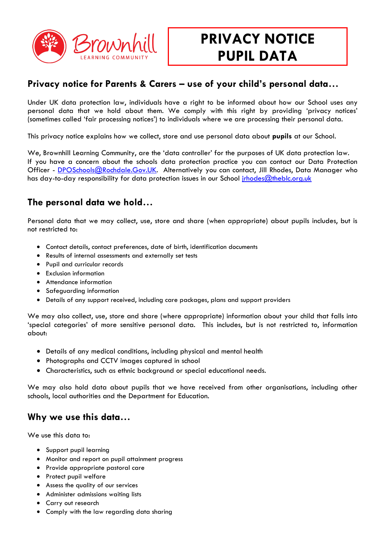

# **PRIVACY NOTICE PUPIL DATA**

## **Privacy notice for Parents & Carers – use of your child's personal data…**

Under UK data protection law, individuals have a right to be informed about how our School uses any personal data that we hold about them. We comply with this right by providing 'privacy notices' (sometimes called 'fair processing notices') to individuals where we are processing their personal data.

This privacy notice explains how we collect, store and use personal data about **pupils** at our School.

We, Brownhill Learning Community, are the 'data controller' for the purposes of UK data protection law. If you have a concern about the schools data protection practice you can contact our Data Protection Officer - [DPOSchools@Rochdale.Gov.UK.](mailto:DPOSchools@Rochdale.Gov.UK) Alternatively you can contact, Jill Rhodes, Data Manager who has day-to-day responsibility for data protection issues in our School [jrhodes@theblc.org.uk](mailto:jrhodes@theblc.org.uk)

## **The personal data we hold…**

Personal data that we may collect, use, store and share (when appropriate) about pupils includes, but is not restricted to:

- Contact details, contact preferences, date of birth, identification documents
- Results of internal assessments and externally set tests
- Pupil and curricular records
- Exclusion information
- Attendance information
- Safeguarding information
- Details of any support received, including care packages, plans and support providers

We may also collect, use, store and share (where appropriate) information about your child that falls into 'special categories' of more sensitive personal data. This includes, but is not restricted to, information about:

- Details of any medical conditions, including physical and mental health
- Photographs and CCTV images captured in school
- Characteristics, such as ethnic background or special educational needs.

We may also hold data about pupils that we have received from other organisations, including other schools, local authorities and the Department for Education.

#### **Why we use this data…**

We use this data to:

- Support pupil learning
- Monitor and report on pupil attainment progress
- Provide appropriate pastoral care
- Protect pupil welfare
- Assess the quality of our services
- Administer admissions waiting lists
- Carry out research
- Comply with the law regarding data sharing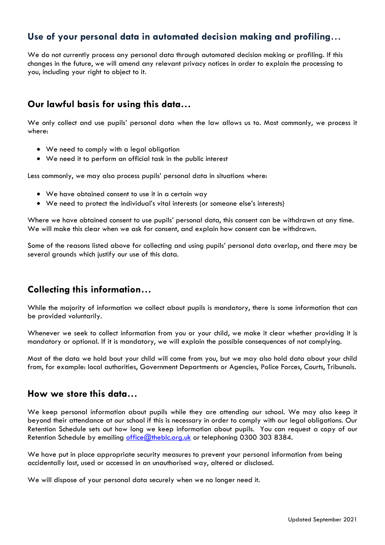## **Use of your personal data in automated decision making and profiling**…

We do not currently process any personal data through automated decision making or profiling. If this changes in the future, we will amend any relevant privacy notices in order to explain the processing to you, including your right to object to it.

#### **Our lawful basis for using this data…**

We only collect and use pupils' personal data when the law allows us to. Most commonly, we process it where:

- We need to comply with a legal obligation
- We need it to perform an official task in the public interest

Less commonly, we may also process pupils' personal data in situations where:

- We have obtained consent to use it in a certain way
- We need to protect the individual's vital interests (or someone else's interests)

Where we have obtained consent to use pupils' personal data, this consent can be withdrawn at any time. We will make this clear when we ask for consent, and explain how consent can be withdrawn.

Some of the reasons listed above for collecting and using pupils' personal data overlap, and there may be several grounds which justify our use of this data.

#### **Collecting this information…**

While the majority of information we collect about pupils is mandatory, there is some information that can be provided voluntarily.

Whenever we seek to collect information from you or your child, we make it clear whether providing it is mandatory or optional. If it is mandatory, we will explain the possible consequences of not complying.

Most of the data we hold bout your child will come from you, but we may also hold data about your child from, for example: local authorities, Government Departments or Agencies, Police Forces, Courts, Tribunals.

#### **How we store this data…**

We keep personal information about pupils while they are attending our school. We may also keep it beyond their attendance at our school if this is necessary in order to comply with our legal obligations. Our Retention Schedule sets out how long we keep information about pupils. You can request a copy of our Retention Schedule by emailing [office@theblc.org.uk](mailto:office@theblc.org.uk) or telephoning 0300 303 8384.

We have put in place appropriate security measures to prevent your personal information from being accidentally lost, used or accessed in an unauthorised way, altered or disclosed.

We will dispose of your personal data securely when we no longer need it.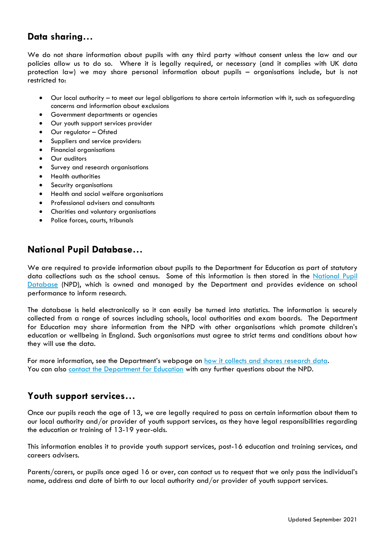#### **Data sharing…**

We do not share information about pupils with any third party without consent unless the law and our policies allow us to do so. Where it is legally required, or necessary (and it complies with UK data protection law) we may share personal information about pupils – organisations include, but is not restricted to:

- Our local authority to meet our legal obligations to share certain information with it, such as safeguarding concerns and information about exclusions
- Government departments or agencies
- Our youth support services provider
- Our regulator Ofsted
- Suppliers and service providers:
- Financial organisations
- Our auditors
- Survey and research organisations
- Health authorities
- Security organisations
- Health and social welfare organisations
- Professional advisers and consultants
- Charities and voluntary organisations
- Police forces, courts, tribunals

#### **National Pupil Database…**

We are required to provide information about pupils to the Department for Education as part of statutory data collections such as the school census. Some of this information is then stored in the National Pupil [Database](https://www.gov.uk/government/publications/national-pupil-database-user-guide-and-supporting-information) (NPD), which is owned and managed by the Department and provides evidence on school performance to inform research.

The database is held electronically so it can easily be turned into statistics. The information is securely collected from a range of sources including schools, local authorities and exam boards. The Department for Education may share information from the NPD with other organisations which promote children's education or wellbeing in England. Such organisations must agree to strict terms and conditions about how they will use the data.

For more information, see the Department's webpage on [how it collects and shares research data.](https://www.gov.uk/data-protection-how-we-collect-and-share-research-data) You can also [contact the Department for Education](https://www.gov.uk/contact-dfe) with any further questions about the NPD.

#### **Youth support services…**

Once our pupils reach the age of 13, we are legally required to pass on certain information about them to our local authority and/or provider of youth support services, as they have legal responsibilities regarding the education or training of 13-19 year-olds.

This information enables it to provide youth support services, post-16 education and training services, and careers advisers.

Parents/carers, or pupils once aged 16 or over, can contact us to request that we only pass the individual's name, address and date of birth to our local authority and/or provider of youth support services.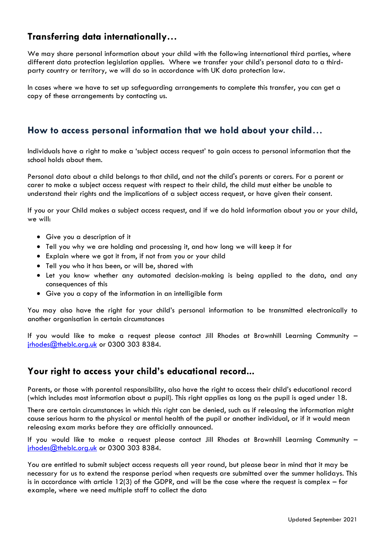## **Transferring data internationally…**

We may share personal information about your child with the following international third parties, where different data protection legislation applies. Where we transfer your child's personal data to a thirdparty country or territory, we will do so in accordance with UK data protection law.

In cases where we have to set up safeguarding arrangements to complete this transfer, you can get a copy of these arrangements by contacting us.

#### **How to access personal information that we hold about your child**…

Individuals have a right to make a 'subject access request' to gain access to personal information that the school holds about them.

Personal data about a child belongs to that child, and not the child's parents or carers. For a parent or carer to make a subject access request with respect to their child, the child must either be unable to understand their rights and the implications of a subject access request, or have given their consent.

If you or your Child makes a subject access request, and if we do hold information about you or your child, we will:

- Give you a description of it
- Tell you why we are holding and processing it, and how long we will keep it for
- Explain where we got it from, if not from you or your child
- Tell you who it has been, or will be, shared with
- Let you know whether any automated decision-making is being applied to the data, and any consequences of this
- Give you a copy of the information in an intelligible form

You may also have the right for your child's personal information to be transmitted electronically to another organisation in certain circumstances

If you would like to make a request please contact Jill Rhodes at Brownhill Learning Community – [jrhodes@theblc.org.uk](mailto:jrhodes@theblc.org.uk) or 0300 303 8384.

#### **Your right to access your child's educational record...**

Parents, or those with parental responsibility, also have the right to access their child's educational record (which includes most information about a pupil). This right applies as long as the pupil is aged under 18.

There are certain circumstances in which this right can be denied, such as if releasing the information might cause serious harm to the physical or mental health of the pupil or another individual, or if it would mean releasing exam marks before they are officially announced.

If you would like to make a request please contact Jill Rhodes at Brownhill Learning Community – irhodes@theblc.org.uk or 0300 303 8384.

You are entitled to submit subject access requests all year round, but please bear in mind that it may be necessary for us to extend the response period when requests are submitted over the summer holidays. This is in accordance with article 12(3) of the GDPR, and will be the case where the request is complex – for example, where we need multiple staff to collect the data